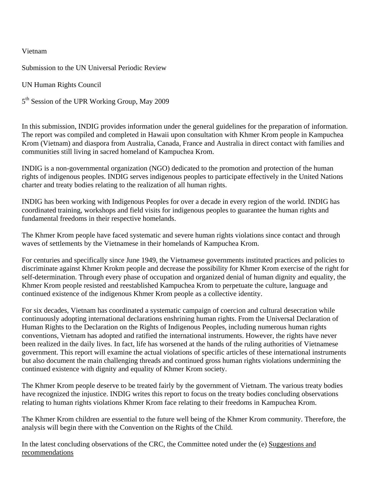## Vietnam

Submission to the UN Universal Periodic Review

UN Human Rights Council

5<sup>th</sup> Session of the UPR Working Group, May 2009

In this submission, INDIG provides information under the general guidelines for the preparation of information. The report was compiled and completed in Hawaii upon consultation with Khmer Krom people in Kampuchea Krom (Vietnam) and diaspora from Australia, Canada, France and Australia in direct contact with families and communities still living in sacred homeland of Kampuchea Krom.

INDIG is a non-governmental organization (NGO) dedicated to the promotion and protection of the human rights of indigenous peoples. INDIG serves indigenous peoples to participate effectively in the United Nations charter and treaty bodies relating to the realization of all human rights.

INDIG has been working with Indigenous Peoples for over a decade in every region of the world. INDIG has coordinated training, workshops and field visits for indigenous peoples to guarantee the human rights and fundamental freedoms in their respective homelands.

The Khmer Krom people have faced systematic and severe human rights violations since contact and through waves of settlements by the Vietnamese in their homelands of Kampuchea Krom.

For centuries and specifically since June 1949, the Vietnamese governments instituted practices and policies to discriminate against Khmer Krokm people and decrease the possibility for Khmer Krom exercise of the right for self-determination. Through every phase of occupation and organized denial of human dignity and equality, the Khmer Krom people resisted and reestablished Kampuchea Krom to perpetuate the culture, language and continued existence of the indigenous Khmer Krom people as a collective identity.

For six decades, Vietnam has coordinated a systematic campaign of coercion and cultural desecration while continuously adopting international declarations enshrining human rights. From the Universal Declaration of Human Rights to the Declaration on the Rights of Indigenous Peoples, including numerous human rights conventions, Vietnam has adopted and ratified the international instruments. However, the rights have never been realized in the daily lives. In fact, life has worsened at the hands of the ruling authorities of Vietnamese government. This report will examine the actual violations of specific articles of these international instruments but also document the main challenging threads and continued gross human rights violations undermining the continued existence with dignity and equality of Khmer Krom society.

The Khmer Krom people deserve to be treated fairly by the government of Vietnam. The various treaty bodies have recognized the injustice. INDIG writes this report to focus on the treaty bodies concluding observations relating to human rights violations Khmer Krom face relating to their freedoms in Kampuchea Krom.

The Khmer Krom children are essential to the future well being of the Khmer Krom community. Therefore, the analysis will begin there with the Convention on the Rights of the Child.

In the latest concluding observations of the CRC, the Committee noted under the (e) Suggestions and recommendations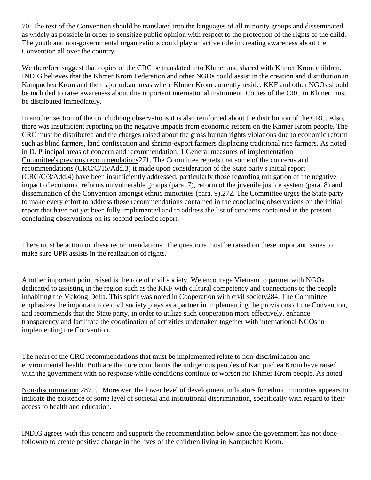70. The text of the Convention should be translated into the languages of all minority groups and disseminated as widely as possible in order to sensitize public opinion with respect to the protection of the rights of the child. The youth and non-governmental organizations could play an active role in creating awareness about the Convention all over the country.

We therefore suggest that copies of the CRC be translated into Khmer and shared with Khmer Krom children. INDIG believes that the Khmer Krom Federation and other NGOs could assist in the creation and distribution in Kampuchea Krom and the major urban areas where Khmer Krom currently reside. KKF and other NGOs should be included to raise awareness about this important international instrument. Copies of the CRC in Khmer must be distributed immediately.

In another section of the concludiong observations it is also reinforced about the distribution of the CRC. Also, there was insufficient reporting on the negative impacts from economic reform on the Khmer Krom people. The CRC must be distributed and the charges raised about the gross human rights violations due to economic reform such as blind farmers, land confiscation and shrimp-export farmers displacing traditional rice farmers. As noted in D. Principal areas of concern and recommendation, 1.General measures of implementation Committee's previous recommendations271. The Committee regrets that some of the concerns and recommendations (CRC/C/15/Add.3) it made upon consideration of the State party's initial report (CRC/C/3/Add.4) have been insufficiently addressed, particularly those regarding mitigation of the negative impact of economic reforms on vulnerable groups (para. 7), reform of the juvenile justice system (para. 8) and dissemination of the Convention amongst ethnic minorities (para. 9).272. The Committee urges the State party to make every effort to address those recommendations contained in the concluding observations on the initial report that have not yet been fully implemented and to address the list of concerns contained in the present concluding observations on its second periodic report.

There must be action on these recommendations. The questions must be raised on these important issues to make sure UPR assists in the realization of rights.

Another important point raised is the role of civil society. We encourage Vietnam to partner with NGOs dedicated to assisting in the region such as the KKF with cultural competency and connections to the people inhabiting the Mekong Delta. This spirit was noted in Cooperation with civil society284. The Committee emphasizes the important role civil society plays as a partner in implementing the provisions of the Convention, and recommends that the State party, in order to utilize such cooperation more effectively, enhance transparency and facilitate the coordination of activities undertaken together with international NGOs in implementing the Convention.

The heart of the CRC recommendations that must be implemented relate to non-discrimination and environmental health. Both are the core complaints the indigenous peoples of Kampuchea Krom have raised with the government with no response while conditions continue to worsen for Khmer Krom people. As noted

Non-discrimination 287. …Moreover, the lower level of development indicators for ethnic minorities appears to indicate the existence of some level of societal and institutional discrimination, specifically with regard to their access to health and education.

INDIG agrees with this concern and supports the recommendation below since the government has not done followup to create positive change in the lives of the children living in Kampuchea Krom.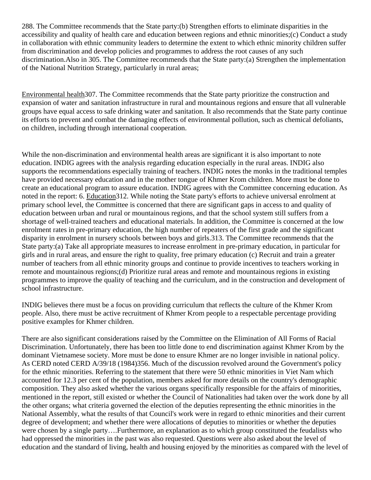288. The Committee recommends that the State party:(b) Strengthen efforts to eliminate disparities in the accessibility and quality of health care and education between regions and ethnic minorities;(c) Conduct a study in collaboration with ethnic community leaders to determine the extent to which ethnic minority children suffer from discrimination and develop policies and programmes to address the root causes of any such discrimination.Also in 305. The Committee recommends that the State party:(a) Strengthen the implementation of the National Nutrition Strategy, particularly in rural areas;

Environmental health307. The Committee recommends that the State party prioritize the construction and expansion of water and sanitation infrastructure in rural and mountainous regions and ensure that all vulnerable groups have equal access to safe drinking water and sanitation. It also recommends that the State party continue its efforts to prevent and combat the damaging effects of environmental pollution, such as chemical defoliants, on children, including through international cooperation.

While the non-discrimination and environmental health areas are significant it is also important to note education. INDIG agrees with the analysis regarding education especially in the rural areas. INDIG also supports the recommendations especially training of teachers. INDIG notes the monks in the traditional temples have provided necessary education and in the mother tongue of Khmer Krom children. More must be done to create an educational program to assure education. INDIG agrees with the Committee concerning education. As noted in the report: 6. Education312. While noting the State party's efforts to achieve universal enrolment at primary school level, the Committee is concerned that there are significant gaps in access to and quality of education between urban and rural or mountainous regions, and that the school system still suffers from a shortage of well-trained teachers and educational materials. In addition, the Committee is concerned at the low enrolment rates in pre-primary education, the high number of repeaters of the first grade and the significant disparity in enrolment in nursery schools between boys and girls.313. The Committee recommends that the State party:(a) Take all appropriate measures to increase enrolment in pre-primary education, in particular for girls and in rural areas, and ensure the right to quality, free primary education (c) Recruit and train a greater number of teachers from all ethnic minority groups and continue to provide incentives to teachers working in remote and mountainous regions;(d) Prioritize rural areas and remote and mountainous regions in existing programmes to improve the quality of teaching and the curriculum, and in the construction and development of school infrastructure.

INDIG believes there must be a focus on providing curriculum that reflects the culture of the Khmer Krom people. Also, there must be active recruitment of Khmer Krom people to a respectable percentage providing positive examples for Khmer children.

There are also significant considerations raised by the Committee on the Elimination of All Forms of Racial Discrimination. Unfortunately, there has been too little done to end discrimination against Khmer Krom by the dominant Vietnamese society. More must be done to ensure Khmer are no longer invisible in national policy. As CERD noted CERD A/39/18 (1984)356. Much of the discussion revolved around the Government's policy for the ethnic minorities. Referring to the statement that there were 50 ethnic minorities in Viet Nam which accounted for 12.3 per cent of the population, members asked for more details on the country's demographic composition. They also asked whether the various organs specifically responsible for the affairs of minorities, mentioned in the report, still existed or whether the Council of Nationalities had taken over the work done by all the other organs; what criteria governed the election of the deputies representing the ethnic minorities in the National Assembly, what the results of that Council's work were in regard to ethnic minorities and their current degree of development; and whether there were allocations of deputies to minorities or whether the deputies were chosen by a single party….Furthermore, an explanation as to which group constituted the feudalists who had oppressed the minorities in the past was also requested. Questions were also asked about the level of education and the standard of living, health and housing enjoyed by the minorities as compared with the level of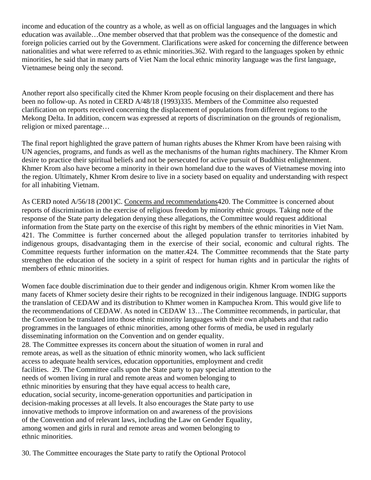income and education of the country as a whole, as well as on official languages and the languages in which education was available…One member observed that that problem was the consequence of the domestic and foreign policies carried out by the Government. Clarifications were asked for concerning the difference between nationalities and what were referred to as ethnic minorities.362. With regard to the languages spoken by ethnic minorities, he said that in many parts of Viet Nam the local ethnic minority language was the first language, Vietnamese being only the second.

Another report also specifically cited the Khmer Krom people focusing on their displacement and there has been no follow-up. As noted in CERD A/48/18 (1993)335. Members of the Committee also requested clarification on reports received concerning the displacement of populations from different regions to the Mekong Delta. In addition, concern was expressed at reports of discrimination on the grounds of regionalism, religion or mixed parentage…

The final report highlighted the grave pattern of human rights abuses the Khmer Krom have been raising with UN agencies, programs, and funds as well as the mechanisms of the human rights machinery. The Khmer Krom desire to practice their spiritual beliefs and not be persecuted for active pursuit of Buddhist enlightenment. Khmer Krom also have become a minority in their own homeland due to the waves of Vietnamese moving into the region. Ultimately, Khmer Krom desire to live in a society based on equality and understanding with respect for all inhabiting Vietnam.

As CERD noted A/56/18 (2001)C. Concerns and recommendations420. The Committee is concerned about reports of discrimination in the exercise of religious freedom by minority ethnic groups. Taking note of the response of the State party delegation denying these allegations, the Committee would request additional information from the State party on the exercise of this right by members of the ethnic minorities in Viet Nam. 421. The Committee is further concerned about the alleged population transfer to territories inhabited by indigenous groups, disadvantaging them in the exercise of their social, economic and cultural rights. The Committee requests further information on the matter.424. The Committee recommends that the State party strengthen the education of the society in a spirit of respect for human rights and in particular the rights of members of ethnic minorities.

Women face double discrimination due to their gender and indigenous origin. Khmer Krom women like the many facets of Khmer society desire their rights to be recognized in their indigenous language. INDIG supports the translation of CEDAW and its distribution to Khmer women in Kampuchea Krom. This would give life to the recommendations of CEDAW. As noted in CEDAW 13…The Committee recommends, in particular, that the Convention be translated into those ethnic minority languages with their own alphabets and that radio programmes in the languages of ethnic minorities, among other forms of media, be used in regularly disseminating information on the Convention and on gender equality. 28. The Committee expresses its concern about the situation of women in rural and remote areas, as well as the situation of ethnic minority women, who lack sufficient access to adequate health services, education opportunities, employment and credit facilities. 29. The Committee calls upon the State party to pay special attention to the needs of women living in rural and remote areas and women belonging to ethnic minorities by ensuring that they have equal access to health care, education, social security, income-generation opportunities and participation in decision-making processes at all levels. It also encourages the State party to use innovative methods to improve information on and awareness of the provisions of the Convention and of relevant laws, including the Law on Gender Equality, among women and girls in rural and remote areas and women belonging to ethnic minorities.

30. The Committee encourages the State party to ratify the Optional Protocol